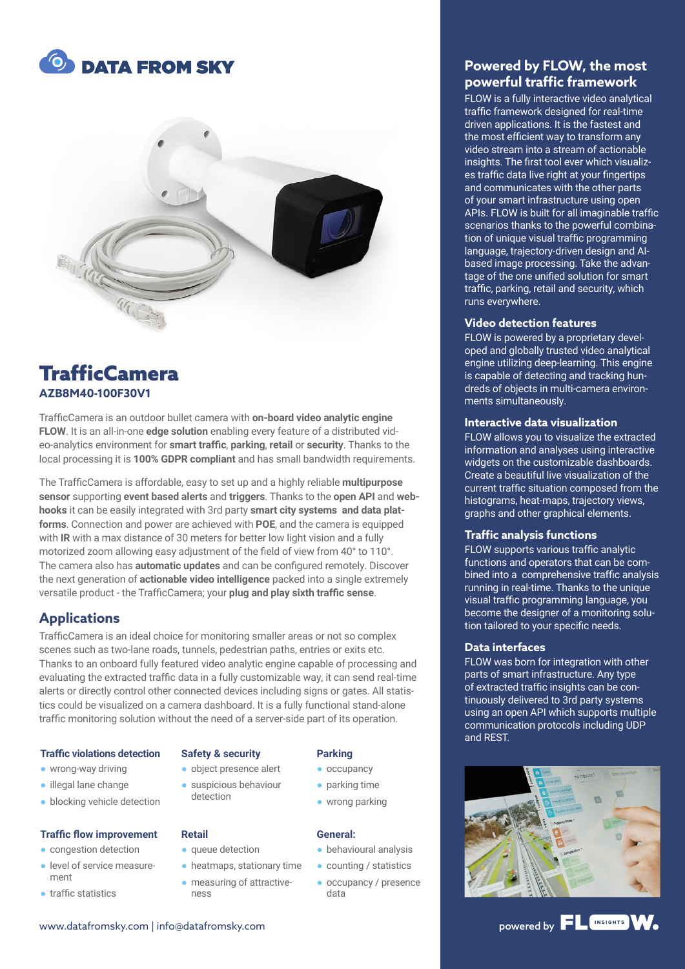



# **TrafficCamera AZB8M40-100F30V1**

TrafficCamera is an outdoor bullet camera with **on-board video analytic engine FLOW**. It is an all-in-one **edge solution** enabling every feature of a distributed video-analytics environment for **smart traffic**, **parking**, **retail** or **security**. Thanks to the local processing it is **100% GDPR compliant** and has small bandwidth requirements.

The TrafficCamera is affordable, easy to set up and a highly reliable **multipurpose sensor** supporting **event based alerts** and **triggers**. Thanks to the **open API** and **webhooks** it can be easily integrated with 3rd party **smart city systems and data platforms**. Connection and power are achieved with **POE**, and the camera is equipped with **IR** with a max distance of 30 meters for better low light vision and a fully motorized zoom allowing easy adjustment of the field of view from 40° to 110°. The camera also has **automatic updates** and can be configured remotely. Discover the next generation of **actionable video intelligence** packed into a single extremely versatile product - the TrafficCamera; your **plug and play sixth traffic sense**.

# **Applications**

TrafficCamera is an ideal choice for monitoring smaller areas or not so complex scenes such as two-lane roads, tunnels, pedestrian paths, entries or exits etc. Thanks to an onboard fully featured video analytic engine capable of processing and evaluating the extracted traffic data in a fully customizable way, it can send real-time alerts or directly control other connected devices including signs or gates. All statistics could be visualized on a camera dashboard. It is a fully functional stand-alone traffic monitoring solution without the need of a server-side part of its operation.

#### **Traffic violations detection**

- wrong-way driving
- illegal lane change
- blocking vehicle detection

#### **Traffic flow improvement**

- congestion detection
- level of service measurement
- traffic statistics

#### **Safety & security**

● object presence alert ● suspicious behaviour

# detection

#### **Retail**

- queue detection
- heatmaps, stationary time
	- measuring of attractiveness

### **Parking**

- occupancy
- parking time
- wrong parking

#### **General:**

- behavioural analysis
- counting / statistics
- occupancy / presence data

# **Powered by FLOW, the most powerful traffic framework**

FLOW is a fully interactive video analytical traffic framework designed for real-time driven applications. It is the fastest and the most efficient way to transform any video stream into a stream of actionable insights. The first tool ever which visualizes traffic data live right at your fingertips and communicates with the other parts of your smart infrastructure using open APIs. FLOW is built for all imaginable traffic scenarios thanks to the powerful combination of unique visual traffic programming language, trajectory-driven design and AIbased image processing. Take the advantage of the one unified solution for smart traffic, parking, retail and security, which runs everywhere.

#### **Video detection features**

FLOW is powered by a proprietary developed and globally trusted video analytical engine utilizing deep-learning. This engine is capable of detecting and tracking hundreds of objects in multi-camera environments simultaneously.

#### **Interactive data visualization**

FLOW allows you to visualize the extracted information and analyses using interactive widgets on the customizable dashboards. Create a beautiful live visualization of the current traffic situation composed from the histograms, heat-maps, trajectory views, graphs and other graphical elements.

#### **Traffic analysis functions**

FLOW supports various traffic analytic functions and operators that can be combined into a comprehensive traffic analysis running in real-time. Thanks to the unique visual traffic programming language, you become the designer of a monitoring solution tailored to your specific needs.

#### **Data interfaces**

FLOW was born for integration with other parts of smart infrastructure. Any type of extracted traffic insights can be continuously delivered to 3rd party systems using an open API which supports multiple communication protocols including UDP and REST.